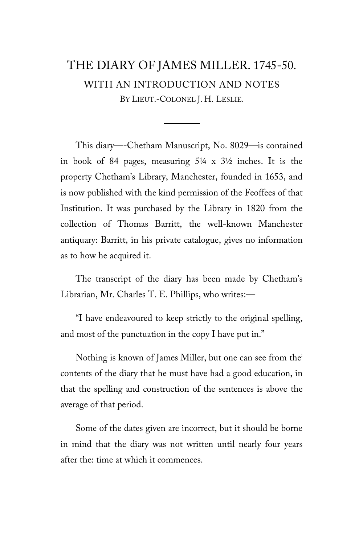# THE DIARY OF JAMES MILLER. 1745-50. WITH AN INTRODUCTION AND NOTES BY LIEUT.-COLONEL J. H. LESLIE.

This diary—-Chetham Manuscript, No. 8029—is contained in book of 84 pages, measuring 5¼ x 3½ inches. It is the property Chetham's Library, Manchester, founded in 1653, and is now published with the kind permission of the Feoffees of that Institution. It was purchased by the Library in 1820 from the collection of Thomas Barritt, the well-known Manchester antiquary: Barritt, in his private catalogue, gives no information as to how he acquired it.

The transcript of the diary has been made by Chetham's Librarian, Mr. Charles T. E. Phillips, who writes:—

"I have endeavoured to keep strictly to the original spelling, and most of the punctuation in the copy I have put in."

Nothing is known of James Miller, but one can see from the: contents of the diary that he must have had a good education, in that the spelling and construction of the sentences is above the average of that period.

Some of the dates given are incorrect, but it should be borne in mind that the diary was not written until nearly four years after the: time at which it commences.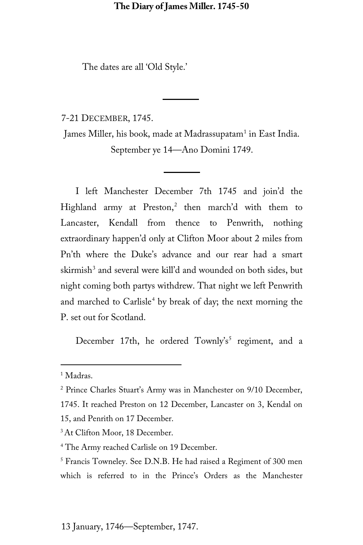The dates are all 'Old Style.'

7-21 DECEMBER, 1745.

James Miller, his book, made at Madrassupatam<sup>[1](#page-1-0)</sup> in East India. September ye 14—Ano Domini 1749.

I left Manchester December 7th 1745 and join'd the Highland army at  $Preston<sup>2</sup>$  $Preston<sup>2</sup>$  $Preston<sup>2</sup>$  then march'd with them to Lancaster, Kendall from thence to Penwrith, nothing extraordinary happen'd only at Clifton Moor about 2 miles from Pn'th where the Duke's advance and our rear had a smart skirmish<sup>[3](#page-1-2)</sup> and several were kill'd and wounded on both sides, but night coming both partys withdrew. That night we left Penwrith and marched to Carlisle<sup>[4](#page-1-3)</sup> by break of day; the next morning the P. set out for Scotland.

December 17th, he ordered  $Townly's^5$  $Townly's^5$  regiment, and a

<span id="page-1-0"></span><sup>&</sup>lt;sup>1</sup> Madras.

<span id="page-1-1"></span><sup>2</sup> Prince Charles Stuart's Army was in Manchester on 9/10 December,

<sup>1745.</sup> It reached Preston on 12 December, Lancaster on 3, Kendal on 15, and Penrith on 17 December.

<span id="page-1-2"></span><sup>&</sup>lt;sup>3</sup> At Clifton Moor, 18 December.

<span id="page-1-3"></span><sup>4</sup> The Army reached Carlisle on 19 December.

<span id="page-1-4"></span><sup>&</sup>lt;sup>5</sup> Francis Towneley. See D.N.B. He had raised a Regiment of 300 men which is referred to in the Prince's Orders as the Manchester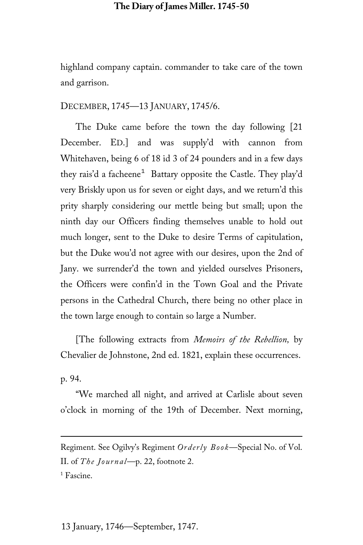highland company captain. commander to take care of the town and garrison.

DECEMBER, 1745—13 JANUARY, 1745/6.

The Duke came before the town the day following [21 December. ED.] and was supply'd with cannon from Whitehaven, being 6 of 18 id 3 of 24 pounders and in a few days they rais'd a facheene<sup>[1](#page-2-0)</sup> Battary opposite the Castle. They play'd very Briskly upon us for seven or eight days, and we return'd this prity sharply considering our mettle being but small; upon the ninth day our Officers finding themselves unable to hold out much longer, sent to the Duke to desire Terms of capitulation, but the Duke wou'd not agree with our desires, upon the 2nd of Jany. we surrender'd the town and yielded ourselves Prisoners, the Officers were confin'd in the Town Goal and the Private persons in the Cathedral Church, there being no other place in the town large enough to contain so large a Number.

[The following extracts from *Memoirs of the Rebellion,* by Chevalier de Johnstone, 2nd ed. 1821, explain these occurrences.

p. 94.

ī

"We marched all night, and arrived at Carlisle about seven o'clock in morning of the 19th of December. Next morning,

<span id="page-2-0"></span>Regiment. See Ogilvy's Regiment *Orderly Book*—Special No. of Vol. II. of *The Journal*—p. 22, footnote 2. <sup>1</sup> Fascine.

13 January, 1746—September, 1747.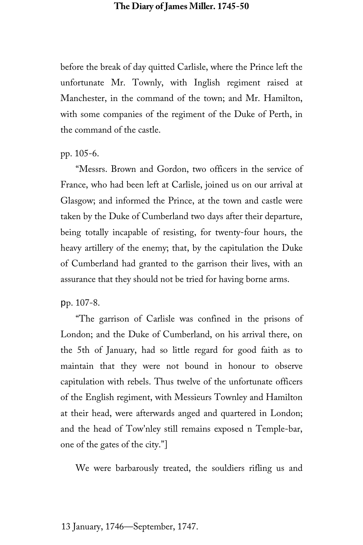before the break of day quitted Carlisle, where the Prince left the unfortunate Mr. Townly, with Inglish regiment raised at Manchester, in the command of the town; and Mr. Hamilton, with some companies of the regiment of the Duke of Perth, in the command of the castle.

#### pp. 105-6.

"Messrs. Brown and Gordon, two officers in the service of France, who had been left at Carlisle, joined us on our arrival at Glasgow; and informed the Prince, at the town and castle were taken by the Duke of Cumberland two days after their departure, being totally incapable of resisting, for twenty-four hours, the heavy artillery of the enemy; that, by the capitulation the Duke of Cumberland had granted to the garrison their lives, with an assurance that they should not be tried for having borne arms.

#### pp. 107-8.

"The garrison of Carlisle was confined in the prisons of London; and the Duke of Cumberland, on his arrival there, on the 5th of January, had so little regard for good faith as to maintain that they were not bound in honour to observe capitulation with rebels. Thus twelve of the unfortunate officers of the English regiment, with Messieurs Townley and Hamilton at their head, were afterwards anged and quartered in London; and the head of Tow'nley still remains exposed n Temple-bar, one of the gates of the city."]

We were barbarously treated, the souldiers rifling us and

#### 13 January, 1746—September, 1747.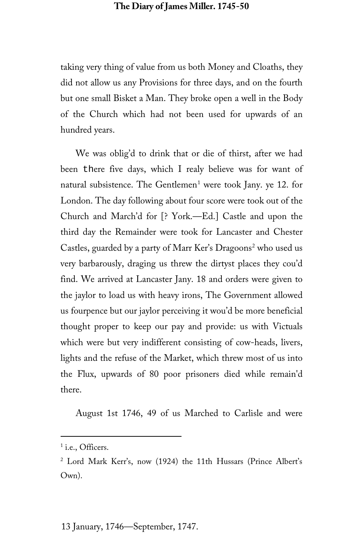taking very thing of value from us both Money and Cloaths, they did not allow us any Provisions for three days, and on the fourth but one small Bisket a Man. They broke open a well in the Body of the Church which had not been used for upwards of an hundred years.

We was oblig'd to drink that or die of thirst, after we had been there five days, which I realy believe was for want of natural subsistence. The Gentlemen<sup>[1](#page-4-0)</sup> were took Jany. ye 12. for London. The day following about four score were took out of the Church and March'd for [? York.—Ed.] Castle and upon the third day the Remainder were took for Lancaster and Chester Castles, guarded by a party of Marr Ker's Dragoons<sup>[2](#page-4-1)</sup> who used us very barbarously, draging us threw the dirtyst places they cou'd find. We arrived at Lancaster Jany. 18 and orders were given to the jaylor to load us with heavy irons, The Government allowed us fourpence but our jaylor perceiving it wou'd be more beneficial thought proper to keep our pay and provide: us with Victuals which were but very indifferent consisting of cow-heads, livers, lights and the refuse of the Market, which threw most of us into the Flux, upwards of 80 poor prisoners died while remain'd there.

August 1st 1746, 49 of us Marched to Carlisle and were

<span id="page-4-0"></span><sup>&</sup>lt;sup>1</sup> i.e., Officers.

<span id="page-4-1"></span><sup>2</sup> Lord Mark Kerr's, now (1924) the 11th Hussars (Prince Albert's Own).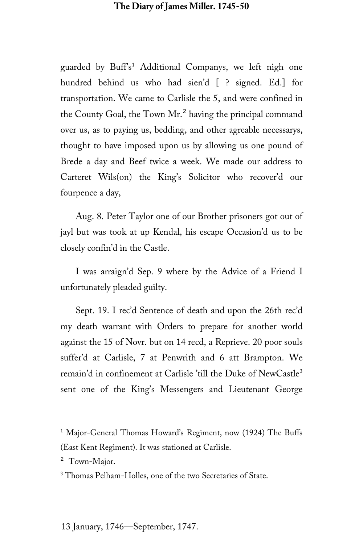guarded by Buff's<sup>[1](#page-5-0)</sup> Additional Companys, we left nigh one hundred behind us who had sien'd [ ? signed. Ed.] for transportation. We came to Carlisle the 5, and were confined in the County Goal, the Town Mr.<sup>[2](#page-5-1)</sup> having the principal command over us, as to paying us, bedding, and other agreable necessarys, thought to have imposed upon us by allowing us one pound of Brede a day and Beef twice a week. We made our address to Carteret Wils(on) the King's Solicitor who recover'd our fourpence a day,

Aug. 8. Peter Taylor one of our Brother prisoners got out of jayl but was took at up Kendal, his escape Occasion'd us to be closely confin'd in the Castle.

I was arraign'd Sep. 9 where by the Advice of a Friend I unfortunately pleaded guilty.

Sept. 19. I rec'd Sentence of death and upon the 26th rec'd my death warrant with Orders to prepare for another world against the 15 of Novr. but on 14 recd, a Reprieve. 20 poor souls suffer'd at Carlisle, 7 at Penwrith and 6 att Brampton. We remain'd in confinement at Carlisle 'till the Duke of NewCastle<sup>[3](#page-5-2)</sup> sent one of the King's Messengers and Lieutenant George

<span id="page-5-0"></span><sup>&</sup>lt;sup>1</sup> Major-General Thomas Howard's Regiment, now (1924) The Buffs (East Kent Regiment). It was stationed at Carlisle.

<span id="page-5-1"></span><sup>&</sup>lt;sup>2</sup> Town-Major.

<span id="page-5-2"></span><sup>3</sup> Thomas Pelham-Holles, one of the two Secretaries of State.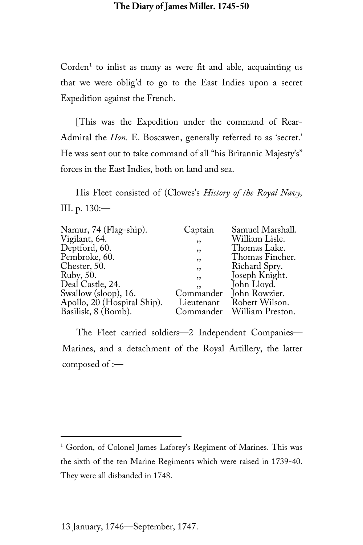$Corden<sup>1</sup>$  $Corden<sup>1</sup>$  $Corden<sup>1</sup>$  to inlist as many as were fit and able, acquainting us that we were oblig'd to go to the East Indies upon a secret Expedition against the French.

[This was the Expedition under the command of Rear-Admiral the *Hon*. E. Boscawen, generally referred to as 'secret.' He was sent out to take command of all "his Britannic Majesty's" forces in the East Indies, both on land and sea.

His Fleet consisted of (Clowes's *History of the Royal Navy,* III. p. 130:—

| Namur, 74 (Flag-ship).      | Captain    | Samuel Marshall. |
|-----------------------------|------------|------------------|
| Vigilant, 64.               | , ,        | William Lisle.   |
| Deptford, 60.               | , ,        | Thomas Lake.     |
| Pembroke, 60.               | ,          | Thomas Fincher.  |
| Chester, 50.                | ,          | Richard Spry.    |
| Ruby, 50.                   | ,          | Joseph Knight.   |
| Deal Castle, 24.            | ,,         | John Lloyd.      |
| Swallow (sloop), 16.        | Commander  | John Rowzier.    |
| Apollo, 20 (Hospital Ship). | Lieutenant | Robert Wilson.   |
| Basilisk, 8 (Bomb).         | Commander  | William Preston. |
|                             |            |                  |

The Fleet carried soldiers—2 Independent Companies— Marines, and a detachment of the Royal Artillery, the latter composed of :—

<span id="page-6-0"></span><sup>&</sup>lt;sup>1</sup> Gordon, of Colonel James Laforey's Regiment of Marines. This was the sixth of the ten Marine Regiments which were raised in 1739-40. They were all disbanded in 1748.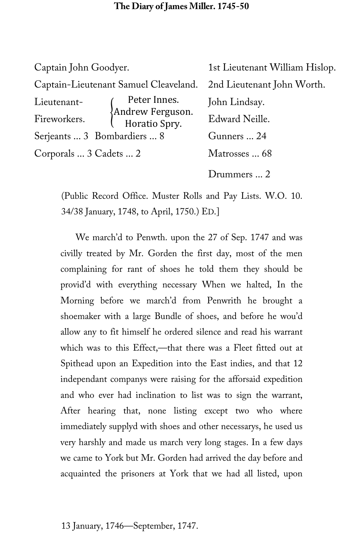| Captain John Goodyer.       |                                                   | 1st Lieutenant William Hislop. |
|-----------------------------|---------------------------------------------------|--------------------------------|
|                             | Captain-Lieutenant Samuel Cleaveland.             | 2nd Lieutenant John Worth.     |
| Lieutenant-                 | Peter Innes.<br>Andrew Ferguson.<br>Horatio Spry. | John Lindsay.                  |
| Fireworkers.                |                                                   | Edward Neille.                 |
| Serjeants  3 Bombardiers  8 |                                                   | Gunners  24                    |
| Corporals  3 Cadets  2      |                                                   | Matrosses  68                  |
|                             |                                                   | Drummers  2                    |

(Public Record Office. Muster Rolls and Pay Lists. W.O. 10. 34/38 January, 1748, to April, 1750.) ED.]

We march'd to Penwth. upon the 27 of Sep. 1747 and was civilly treated by Mr. Gorden the first day, most of the men complaining for rant of shoes he told them they should be provid'd with everything necessary When we halted, In the Morning before we march'd from Penwrith he brought a shoemaker with a large Bundle of shoes, and before he wou'd allow any to fit himself he ordered silence and read his warrant which was to this Effect,—that there was a Fleet fitted out at Spithead upon an Expedition into the East indies, and that 12 independant companys were raising for the afforsaid expedition and who ever had inclination to list was to sign the warrant, After hearing that, none listing except two who where immediately supplyd with shoes and other necessarys, he used us very harshly and made us march very long stages. In a few days we came to York but Mr. Gorden had arrived the day before and acquainted the prisoners at York that we had all listed, upon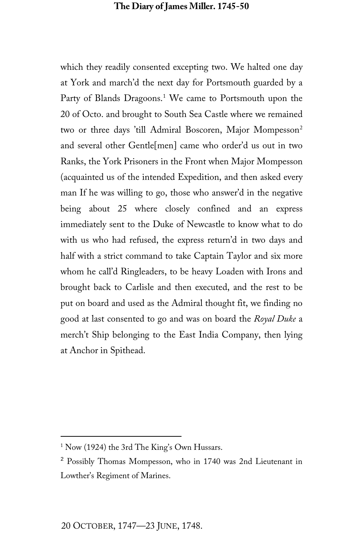which they readily consented excepting two. We halted one day at York and march'd the next day for Portsmouth guarded by a Party of Blands Dragoons.<sup>[1](#page-8-0)</sup> We came to Portsmouth upon the 20 of Octo. and brought to South Sea Castle where we remained two or three days 'till Admiral Boscoren, Major Mompesson<sup>[2](#page-8-1)</sup> and several other Gentle[men] came who order'd us out in two Ranks, the York Prisoners in the Front when Major Mompesson (acquainted us of the intended Expedition, and then asked every man If he was willing to go, those who answer'd in the negative being about 25 where closely confined and an express immediately sent to the Duke of Newcastle to know what to do with us who had refused, the express return'd in two days and half with a strict command to take Captain Taylor and six more whom he call'd Ringleaders, to be heavy Loaden with Irons and brought back to Carlisle and then executed, and the rest to be put on board and used as the Admiral thought fit, we finding no good at last consented to go and was on board the *Royal Duke* a merch't Ship belonging to the East India Company, then lying at Anchor in Spithead.

<span id="page-8-0"></span><sup>&</sup>lt;sup>1</sup> Now (1924) the 3rd The King's Own Hussars.

<span id="page-8-1"></span><sup>&</sup>lt;sup>2</sup> Possibly Thomas Mompesson, who in 1740 was 2nd Lieutenant in Lowther's Regiment of Marines.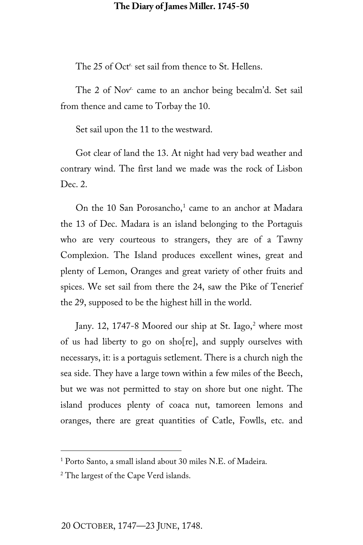The 25 of Oct<sup>r</sup> set sail from thence to St. Hellens.

The 2 of Nov<sup>r.</sup> came to an anchor being becalm'd. Set sail from thence and came to Torbay the 10.

Set sail upon the 11 to the westward.

Got clear of land the 13. At night had very bad weather and contrary wind. The first land we made was the rock of Lisbon Dec. 2.

On the [1](#page-9-0)0 San Porosancho, $1$  came to an anchor at Madara the 13 of Dec. Madara is an island belonging to the Portaguis who are very courteous to strangers, they are of a Tawny Complexion. The Island produces excellent wines, great and plenty of Lemon, Oranges and great variety of other fruits and spices. We set sail from there the 24, saw the Pike of Tenerief the 29, supposed to be the highest hill in the world.

Jany. 1[2](#page-9-1), 1747-8 Moored our ship at St. Iago,<sup>2</sup> where most of us had liberty to go on sho[re], and supply ourselves with necessarys, it: is a portaguis setlement. There is a church nigh the sea side. They have a large town within a few miles of the Beech, but we was not permitted to stay on shore but one night. The island produces plenty of coaca nut, tamoreen lemons and oranges, there are great quantities of Catle, Fowlls, etc. and

<span id="page-9-0"></span><sup>1</sup> Porto Santo, a small island about 30 miles N.E. of Madeira.

<span id="page-9-1"></span><sup>&</sup>lt;sup>2</sup> The largest of the Cape Verd islands.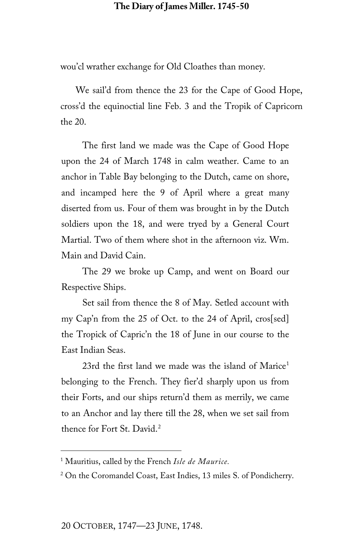wou'cl wrather exchange for Old Cloathes than money.

We sail'd from thence the 23 for the Cape of Good Hope, cross'd the equinoctial line Feb. 3 and the Tropik of Capricorn the 20.

The first land we made was the Cape of Good Hope upon the 24 of March 1748 in calm weather. Came to an anchor in Table Bay belonging to the Dutch, came on shore, and incamped here the 9 of April where a great many diserted from us. Four of them was brought in by the Dutch soldiers upon the 18, and were tryed by a General Court Martial. Two of them where shot in the afternoon viz. Wm. Main and David Cain.

The 29 we broke up Camp, and went on Board our Respective Ships.

Set sail from thence the 8 of May. Setled account with my Cap'n from the 25 of Oct. to the 24 of April, cros[sed] the Tropick of Capric'n the 18 of June in our course to the East Indian Seas.

23rd the first land we made was the island of  $Marice<sup>1</sup>$  $Marice<sup>1</sup>$  $Marice<sup>1</sup>$ belonging to the French. They fier'd sharply upon us from their Forts, and our ships return'd them as merrily, we came to an Anchor and lay there till the 28, when we set sail from thence for Fort St. David.<sup>[2](#page-10-1)</sup>

<span id="page-10-0"></span><sup>1</sup> Mauritius, called by the French *Isle de Maurice.*

<span id="page-10-1"></span><sup>2</sup> On the Coromandel Coast, East Indies, 13 miles S. of Pondicherry.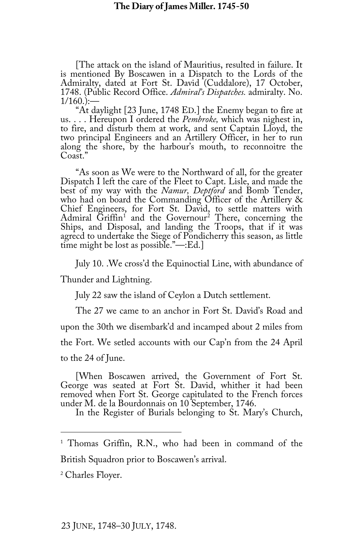[The attack on the island of Mauritius, resulted in failure. It is mentioned By Boscawen in a Dispatch to the Lords of the Admiralty, dated at Fort St. David (Cuddalore), 17 October, 1748. (Public Record Office. Admiral's Dispatches. admiralty. No.

1/160.):—<br>"At daylight [23 June, 1748 ED.] the Enemy began to fire at<br>us.... Hereupon I ordered the *Pembroke*, which was nighest in,<br>to fire, and disturb them at work, and sent Captain Lloyd, the<br>two principal Engineers a along the shore, by the harbour's mouth, to reconnoitre the Coast."

"As soon as We were to the Northward of all, for the greater Dispatch I left the care of the Fleet to Capt. Lisle, and made the best of my way with the *Namur, Deptford* and Bomb Tender, Chief Engineers, for Fort St. David, to settle matters with Admiral Griffin<sup>1</sup> and the Governour<sup>2</sup> There, concerning the Ships, and Disposal, and landing the Troops, that if it was agrecd to undertake the Siege of Pondicherry this season, as little time might be lost as possible."—:Ed.]

July 10. .We cross'd the Equinoctial Line, with abundance of

Thunder and Lightning.

July 22 saw the island of Ceylon a Dutch settlement.

The 27 we came to an anchor in Fort St. David's Road and upon the 30th we disembark'd and incamped about 2 miles from the Fort. We setled accounts with our Cap'n from the 24 April to the 24 of June.

[When Boscawen arrived, the Government of Fort St. George was seated at Fort St. David, whither it had been removed when Fort St. George capitulated to the French forces

In the Register of Burials belonging to St. Mary's Church,

<span id="page-11-0"></span><sup>1</sup> Thomas Griffin, R.N., who had been in command of the British Squadron prior to Boscawen's arrival.

<span id="page-11-1"></span><sup>2</sup> Charles Floyer.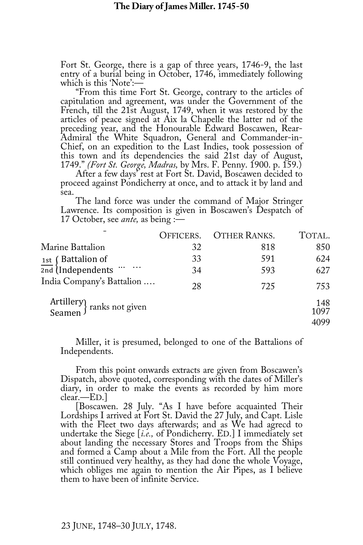Fort St. George, there is a gap of three years, 1746-9, the last

which is this 'Note':—<br>"From this time Fort St. George, contrary to the articles of<br>capitulation and agreement, was under the Government of the<br>French, till the 21st August, 1749, when it was restored by the articles of peace signed at Aix la Chapelle the latter nd of the<br>preceding year, and the Honourable Edward Boscawen, Rear-<br>Admiral the White Squadron, General and Commander-in-<br>Chief, on an expedition to the Last Indies, t

1749." (Fort St. George, Madras, by Mrs. F. Penny. 1900. p. 159.)<br>After a few days' rest at Fort St. David, Boscawen decided to<br>proceed against Pondicherry at once, and to attack it by land and sea.

The land force was under the command of Major Stringer Lawrence. Its composition is given in Boscawen's Despatch of 17 October, see *ante,* as being :—

|                                                                             | OFFICERS. | <b>OTHER RANKS.</b> | TOTAL.              |
|-----------------------------------------------------------------------------|-----------|---------------------|---------------------|
| Marine Battalion                                                            | 32        | 818                 | 850                 |
| $rac{1st}{2nd}$ [Battalion of $rac{1}{2nd}$ [Independents $\cdots$ $\cdots$ | 33        | 591                 | 624                 |
|                                                                             | 34        | 593                 | 627                 |
| India Company's Battalion                                                   | 28        | 725                 | 753                 |
| Artillery<br>Seamen franks not given                                        |           |                     | 148<br>1097<br>4099 |

Miller, it is presumed, belonged to one of the Battalions of Independents.

From this point onwards extracts are given from Boscawen's Dispatch, above quoted, corresponding with the dates of Miller's diary, in order to make the events as recorded by him more clear.—ED.]<br>[Boscawen. 28 July. "As I h

Lordships I arrived at Fort St. David the 27 July, and Capt. Lisle with the Fleet two days afterwards; and as We had agreed to undertake the Siege  $[i.e.,$  of Pondicherry. ED. I immediately set about landing the necessary Stores and Troops from the Ships and formed a Camp about a Mile from the Fort. All the people still continued very healthy, as they had done the whole Voyage, which obliges me again to mention the Air Pipes, as I believe them to have been of infinite Service.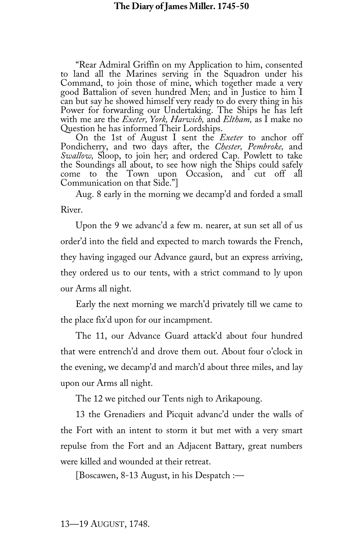"Rear Admiral Griffin on my Application to him, consented to land all the Marines serving in the Squadron under his Command, to join those of mine, which together made a very good Battalion of seven hundred Men; and in Justice to him I can but say he showed himself very ready to do every thing in his Power for forwarding our Undertaking. The Ships he has left with me are the *Exeter, York, Harwich,* and *Eltham,* as I make no

On the 1st of August I sent the *Exeter* to anchor off Pondicherry, and two days after, the *Chester, Pembroke,* and the Soundings all about, to see how nigh the Ships could safely come to the Town upon Occasion, and cut off all Communication on that Side."]

Aug. 8 early in the morning we decamp'd and forded a small River.

Upon the 9 we advanc'd a few m. nearer, at sun set all of us order'd into the field and expected to march towards the French, they having ingaged our Advance gaurd, but an express arriving, they ordered us to our tents, with a strict command to ly upon our Arms all night.

Early the next morning we march'd privately till we came to the place fix'd upon for our incampment.

The 11, our Advance Guard attack'd about four hundred that were entrench'd and drove them out. About four o'clock in the evening, we decamp'd and march'd about three miles, and lay upon our Arms all night.

The 12 we pitched our Tents nigh to Arikapoung.

13 the Grenadiers and Picquit advanc'd under the walls of the Fort with an intent to storm it but met with a very smart repulse from the Fort and an Adjacent Battary, great numbers were killed and wounded at their retreat.

[Boscawen, 8-13 August, in his Despatch :—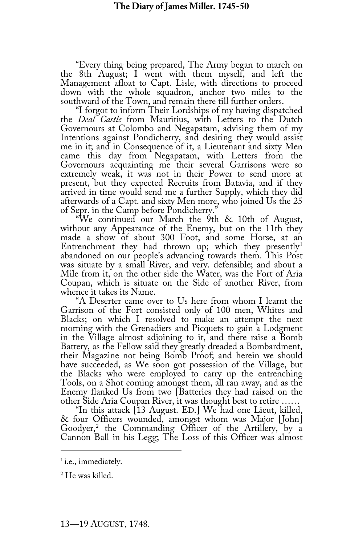"Every thing being prepared, The Army began to march on the 8th August; I went with them myself, and left the down with the whole squadron, anchor two miles to the

southward of the Town, and remain there till further orders. the *Deal Castle* from Mauritius, with Letters to the Dutch Governours at Colombo and Negapatam, advising them of my Intentions against Pondicherry, and desiring they would assist me in it; and in Consequence of it, a Lieutenant and sixty Men came this day from Negapatam, with Letters from the Governours acquainting me their several Garrisons were so extremely weak, it was not in their Power to send more at present, but they expected Recruits from Batavia, and if they arrived in time would send me a further Supply, which they did<br>afterwards of a Capt. and sixty Men more, who joined Us the 25

of Sepr. in the Camp before Pondicherry."<br>"We continued our March the 9th & 10th of August,<br>without any Appearance of the Enemy, but on the 11th they<br>made a show of about 300 Foot, and some Horse, at an Entrenchment they had thrown up; which they presently<sup>[1](#page-14-0)</sup> abandoned on our people's advancing towards them. This Post was situate by a small River, and very. defensible; and about a Mile from it, on the other side the Water, was the Fort of Aria Coupan, which is situate on the Side of another River, from whence it takes its Name.

"A Deserter came over to Us here from whom I learnt the Garrison of the Fort consisted only of 100 men, Whites and Blacks; on which I resolved to make an attempt the next morning with the Grenadiers and Picquets to gain a Lodgment in the Village almost adjoining to it, and there raise a Bomb<br>Battery, as the Fellow said they greatly dreaded a Bombardment, their Magazine not being Bomb Proof; and herein we should have succeeded, as We soon got possession of the Village, but the Blacks who were employed to carry up the entrenching<br>Tools, on a Shot coming amongst them, all ran away, and as the<br>Enemy flanked Us from two [Batteries they had raised on the<br>other Side Aria Coupan River, it was thoug

<sup>ot</sup>her Side Aria Coupan River, it was the side arithmether was the check four Officers wounded, amongst whom was Major Goodyer,<sup>2</sup> the Commanding [O](#page-14-1)fficer of the Artillery, by a Cannon Ball in his Legg; The Loss of this Officer was almost

<span id="page-14-0"></span><sup>&</sup>lt;sup>1</sup> i.e., immediately.

<span id="page-14-1"></span><sup>2</sup> He was killed.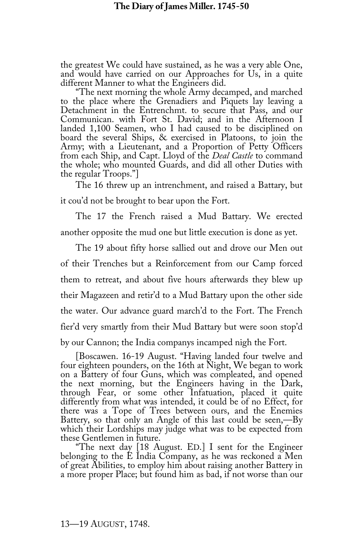the greatest We could have sustained, as he was a very able One, and would have carried on our Approaches for Us, in a quite different Manner to what the Engineers did. "The next morning the whole Army decamped, and marched

to the place where the Grenadiers and Piquets lay leaving a Detachment in the Entrenchmt. to secure that Pass, and our Communican. with Fort St. David; and in the Afternoon I landed 1,100 Seamen, who I had caused to be disciplined on board the several Ships, & exercised in Platoons, to join the Army; with a Lieutenant, and a Proportion of Petty Officers from each Ship, and Capt. Lloyd of the *Deal Castle* to command the whole; who mounted Guards, and did all other Duties with the regular Troops."]

The 16 threw up an intrenchment, and raised a Battary, but it cou'd not be brought to bear upon the Fort.

The 17 the French raised a Mud Battary. We erected another opposite the mud one but little execution is done as yet.

The 19 about fifty horse sallied out and drove our Men out of their Trenches but a Reinforcement from our Camp forced them to retreat, and about five hours afterwards they blew up their Magazeen and retir'd to a Mud Battary upon the other side the water. Our advance guard march'd to the Fort. The French fier'd very smartly from their Mud Battary but were soon stop'd by our Cannon; the India companys incamped nigh the Fort.

[Boscawen. 16-19 August. "Having landed four twelve and four eighteen pounders, on the 16th at Night, We began to work on a Battery of four Guns, which was compleated, and opened the next morning, but the Engineers having in the Dark, through Fear, or some other Infatuation, placed it quite differently from what was intended, it could be of no Effect, for there was a Tope of Trees between ours, and the Enemies Battery, so that only an Angle of this last could be seen,—By

which their Lordships may judge what was to be expected from<br>these Gentlemen in future.<br>"The next day [18 August. ED.] I sent for the Engineer<br>belonging to the E India Company, as he was reckoned a Men<br>of great Abilities, a more proper Place; but found him as bad, if not worse than our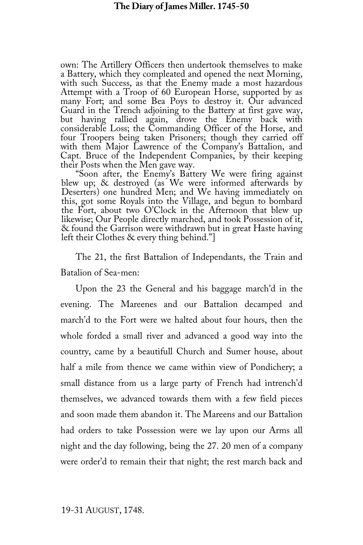own: The Artillery Officers then undertook themselves to make<br>a Battery, which they compleated and opened the next Morning, with such Success, as that the Enemy made a most hazardous<br>Attempt with a Troop of 60 European Horse, supported by as<br>many Fort; and some Bea Poys to destroy it. Our advanced Guard in the Trench adjoining to the Battery at first gave way, but having rallied again, drove the Enemy back with considerable Loss; the Commanding Officer of the Horse, and four Troopers being taken Prisoners; though they carried off with them Major Lawrence of the Company's Battalion, and Capt. Bruce of the Independent Companies, by their keeping their Posts when the Men gave way.

their Posts when the Men gave way. "Soon after, the Enemy's Battery We were firing against blew up; & destroyed (as We were informed afterwards by Deserters) one hundred Men; and We having immediately on this, got some Royals into the Village, and begun to bombard the Fort, about two O'Clock in the Afternoon that blew up likewise; Our People directly marched, and took Possession of it, & found the Garrison were withdrawn but in great Haste having left their Clothes & every thing behind."]

The 21, the first Battalion of Independants, the Train and Batalion of Sea-men:

Upon the 23 the General and his baggage march'd in the evening. The Mareenes and our Battalion decamped and march'd to the Fort were we halted about four hours, then the whole forded a small river and advanced a good way into the country, came by a beautifull Church and Sumer house, about half a mile from thence we came within view of Pondichery; a small distance from us a large party of French had intrench'd themselves, we advanced towards them with a few field pieces and soon made them abandon it. The Mareens and our Battalion had orders to take Possession were we lay upon our Arms all night and the day following, being the 27. 20 men of a company were order'd to remain their that night; the rest march back and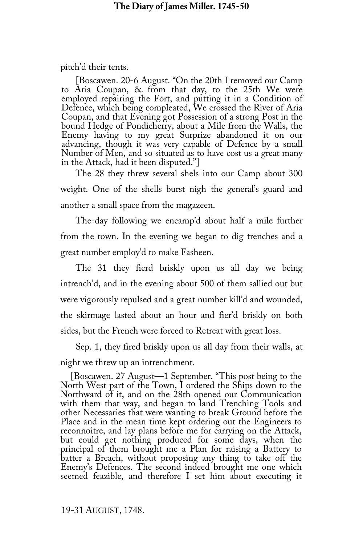pitch'd their tents.

[Boscawen. 20-6 August. "On the 20th I removed our Camp to Aria Coupan, & from that day, to the 25th We were employed repairing the Fort, and putting it in a Condition of Defence, which being compleated, We crossed the River of Aria Coupan, and that Evening got Possession of a strong Post in the bound Hedge of Pondicherry, about a Mile from the Walls, the Enemy having to my great Surprize abandoned it on our advancing, though it was very capable of Defence by a small Number of Men, and so situated as to have cost us a great many in the Attack, had it been disputed."]

The 28 they threw several shels into our Camp about 300 weight. One of the shells burst nigh the general's guard and another a small space from the magazeen.

The-day following we encamp'd about half a mile further from the town. In the evening we began to dig trenches and a great number employ'd to make Fasheen.

The 31 they fierd briskly upon us all day we being intrench'd, and in the evening about 500 of them sallied out but were vigorously repulsed and a great number kill'd and wounded, the skirmage lasted about an hour and fier'd briskly on both sides, but the French were forced to Retreat with great loss.

Sep. 1, they fired briskly upon us all day from their walls, at night we threw up an intrenchment.

[Boscawen. 27 August—1 September. "This post being to the North West part of the Town, I ordered the Ships down to the with them that way, and began to land Trenching Tools and other Necessaries that were wanting to break Ground before the Place and in the mean time kept ordering out the Engineers to reconnoitre, and lay plans before me for carrying on the Attack, but could get nothing produced for some days, when the principal of them brought me a Plan for raising a Battery to Enemy's Defences. The second indeed brought me one which seemed feazible, and therefore I set him about executing it

19-31 AUGUST, 1748.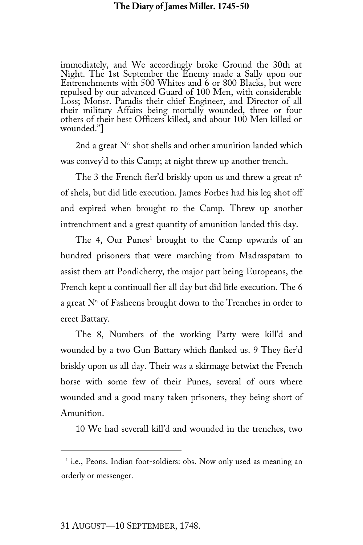immediately, and We accordingly broke Ground the 30th at Night. The 1st September the Enemy made a Sally upon our Entrenchments with 500 Whites and 6 or 800 Blacks, but were repulsed by our advanced Guard of 100 Men, with considerable Loss; Monsr. Paradis their chief Engineer, and Director of all their military Affairs being mortally wounded, three or four others of their best Officers killed, and about 100 Men killed or wounded."]

2nd a great  $N<sup>r</sup>$  shot shells and other amunition landed which was convey'd to this Camp; at night threw up another trench.

The 3 the French fier'd briskly upon us and threw a great n<sup>r.</sup> of shels, but did litle execution. James Forbes had his leg shot off and expired when brought to the Camp. Threw up another intrenchment and a great quantity of amunition landed this day.

The 4, Our Punes<sup>[1](#page-18-0)</sup> brought to the Camp upwards of an hundred prisoners that were marching from Madraspatam to assist them att Pondicherry, the major part being Europeans, the French kept a continuall fier all day but did litle execution. The 6 a great  $N<sup>r</sup>$  of Fasheens brought down to the Trenches in order to erect Battary.

The 8, Numbers of the working Party were kill'd and wounded by a two Gun Battary which flanked us. 9 They fier'd briskly upon us all day. Their was a skirmage betwixt the French horse with some few of their Punes, several of ours where wounded and a good many taken prisoners, they being short of Amunition.

10 We had severall kill'd and wounded in the trenches, two

<span id="page-18-0"></span><sup>&</sup>lt;sup>1</sup> i.e., Peons. Indian foot-soldiers: obs. Now only used as meaning an orderly or messenger.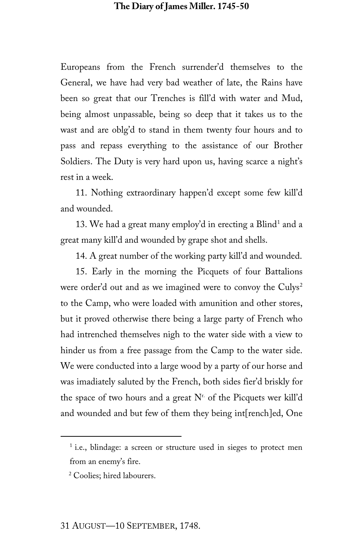Europeans from the French surrender'd themselves to the General, we have had very bad weather of late, the Rains have been so great that our Trenches is fill'd with water and Mud, being almost unpassable, being so deep that it takes us to the wast and are oblg'd to stand in them twenty four hours and to pass and repass everything to the assistance of our Brother Soldiers. The Duty is very hard upon us, having scarce a night's rest in a week.

11. Nothing extraordinary happen'd except some few kill'd and wounded.

[1](#page-19-0)3. We had a great many employ'd in erecting a Blind<sup>1</sup> and a great many kill'd and wounded by grape shot and shells.

14. A great number of the working party kill'd and wounded.

15. Early in the morning the Picquets of four Battalions were order'd out and as we imagined were to convoy the Culys<sup>[2](#page-19-1)</sup> to the Camp, who were loaded with amunition and other stores, but it proved otherwise there being a large party of French who had intrenched themselves nigh to the water side with a view to hinder us from a free passage from the Camp to the water side. We were conducted into a large wood by a party of our horse and was imadiately saluted by the French, both sides fier'd briskly for the space of two hours and a great  $N<sup>r</sup>$  of the Picquets wer kill'd and wounded and but few of them they being int[rench]ed, One

<span id="page-19-0"></span><sup>&</sup>lt;sup>1</sup> i.e., blindage: a screen or structure used in sieges to protect men from an enemy's fire.

<span id="page-19-1"></span><sup>2</sup> Coolies; hired labourers.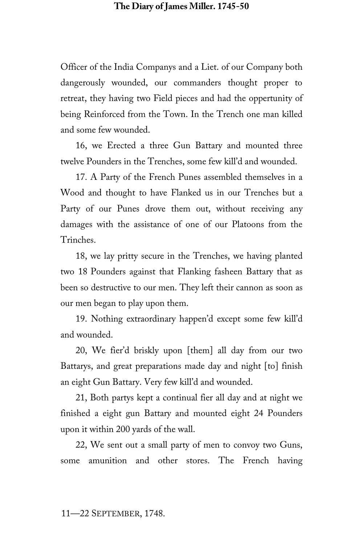Officer of the India Companys and a Liet. of our Company both dangerously wounded, our commanders thought proper to retreat, they having two Field pieces and had the oppertunity of being Reinforced from the Town. In the Trench one man killed and some few wounded.

16, we Erected a three Gun Battary and mounted three twelve Pounders in the Trenches, some few kill'd and wounded.

17. A Party of the French Punes assembled themselves in a Wood and thought to have Flanked us in our Trenches but a Party of our Punes drove them out, without receiving any damages with the assistance of one of our Platoons from the Trinches.

18, we lay pritty secure in the Trenches, we having planted two 18 Pounders against that Flanking fasheen Battary that as been so destructive to our men. They left their cannon as soon as our men began to play upon them.

19. Nothing extraordinary happen'd except some few kill'd and wounded.

20, We fier'd briskly upon [them] all day from our two Battarys, and great preparations made day and night [to] finish an eight Gun Battary. Very few kill'd and wounded.

21, Both partys kept a continual fier all day and at night we finished a eight gun Battary and mounted eight 24 Pounders upon it within 200 yards of the wall.

22, We sent out a small party of men to convoy two Guns, some amunition and other stores. The French having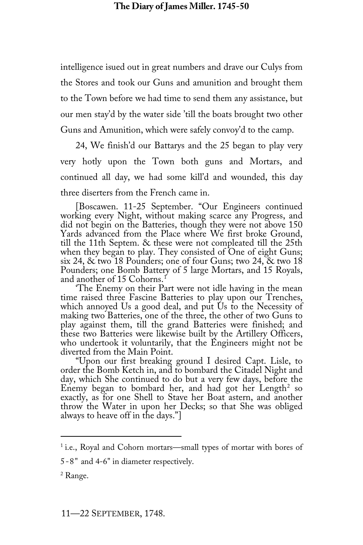intelligence isued out in great numbers and drave our Culys from the Stores and took our Guns and amunition and brought them to the Town before we had time to send them any assistance, but our men stay'd by the water side 'till the boats brought two other Guns and Amunition, which were safely convoy'd to the camp.

24, We finish'd our Battarys and the 25 began to play very very hotly upon the Town both guns and Mortars, and continued all day, we had some kill'd and wounded, this day three diserters from the French came in.

[Boscawen. 11-25 September. "Our Engineers continued working every Night, without making scarce any Progress, and did not begin on the Batteries, though they were not above 150 Yards advanced from the Place where We first broke Ground, till the 11th Septem. & these were not compleated till the 25th when they began to play. They consisted of One of eight Guns; six 24,  $\&$  two 18 Pounders; one of four Guns; two 24,  $\&$  two 18 Pounders; one Bomb Battery of 5 large Mortars, and [1](#page-21-0)5 Royals, and another of 15 Cohorns.<sup>1</sup>

The Enemy on their Part were not idle having in the mean time raised three Fascine Batteries to play upon our Trenches, which annoyed Us a good deal, and put Us to the Necessity of making two Batteries, one of the three, the other of two Guns to play against them, till the grand Batteries were finished; and

who undertook it voluntarily, that th[e](#page-21-1) Engineers might not be<br>diverted from the Main Point.<br>"Upon our first breaking ground I desired Capt. Lisle, to<br>order the Bomb Ketch in, and to bombard the Citadel Night and<br>day, which exactly, as for one Shell to Stave her Boat astern, and another throw the Water in upon her Decks; so that She was obliged always to heave off in the days."]

<span id="page-21-0"></span><sup>1</sup> i.e., Royal and Cohorn mortars—small types of mortar with bores of

<sup>5-8&</sup>quot; and 4-6" in diameter respectively.

<span id="page-21-1"></span><sup>2</sup> Range.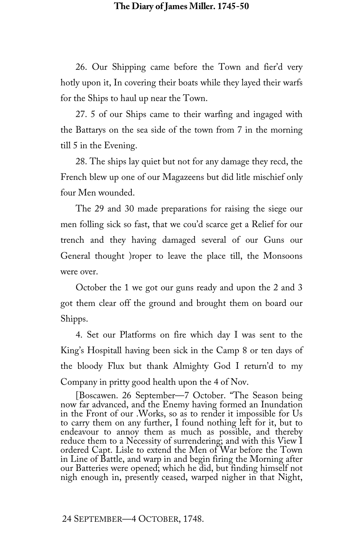26. Our Shipping came before the Town and fier'd very hotly upon it, In covering their boats while they layed their warfs for the Ships to haul up near the Town.

27. 5 of our Ships came to their warfing and ingaged with the Battarys on the sea side of the town from 7 in the morning till 5 in the Evening.

28. The ships lay quiet but not for any damage they recd, the French blew up one of our Magazeens but did litle mischief only four Men wounded.

The 29 and 30 made preparations for raising the siege our men folling sick so fast, that we cou'd scarce get a Relief for our trench and they having damaged several of our Guns our General thought )roper to leave the place till, the Monsoons were over.

October the 1 we got our guns ready and upon the 2 and 3 got them clear off the ground and brought them on board our Shipps.

4. Set our Platforms on fire which day I was sent to the King's Hospitall having been sick in the Camp 8 or ten days of the bloody Flux but thank Almighty God I return'd to my Company in pritty good health upon the 4 of Nov.

[Boscawen. 26 September—7 October. "The Season being now far advanced, and the Enemy having formed an Inundation to carry them on any further, I found nothing left for it, but to endeavour to annoy them as much as possible, and thereby reduce them to a Necessity of surrendering; and with this View I ordered Capt. Lisle to extend the Men of War before the Town in Line of Battle, and warp in and begin firing the Morning after nigh enough in, presently ceased, warped nigher in that Night,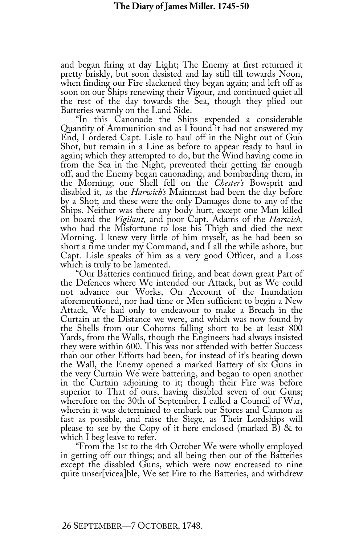and began firing at day Light; The Enemy at first returned it pretty briskly, but soon desisted and lay still till towards Noon, when finding our Fire slackened they began again; and left off as soon on our Ships renewing their Vigour, and continued quiet all the rest of the day towards the Sea, though they plied out Batteries warmly on the Land Side.<br>"In this Canonade the Ships expended a considerable"

Quantity of Ammunition and as I found it had not answered my<br>End, I ordered Capt. Lisle to haul off in the Night out of Gun Shot, but remain in a Line as before to appear ready to haul in again; which they attempted to do, but the Wind having come in from the Sea in the Night, prevented their getting far enough off, and the Enemy began canonading, and bombarding them, in the Morning; one Shell fell on the *Chester's* Bowsprit and disabled it, as the *Harwich's* Mainmast had been the day before<br>by a Shot; and these were the only Damages done to any of the<br>Ships. Neither was there any body hurt, except one Man killed on board the *Vigilant,* and poor Capt. Adams of the *Harwich,* Morning. I knew very little of him myself, as he had been so short a time under my Command, and I all the while ashore, but Capt. Lisle speaks of him as a very good Officer, and a Loss

which is truly to be lamented.<br>"Our Batteries continued firing, and beat down great Part of the Defences where We intended our Attack, but as We could not advance our Works, On Account of the Inundation aforementioned, nor had time or Men sufficient to begin a New<br>Attack, We had only to endeavour to make a Breach in the Curtain at the Distance we were, and which was now found by the Shells from our Cohorns falling short to be at least 800 Yards, from the Walls, though the Engineers had always insisted they were within 600. This was not attended with better Success than our other Efforts had been, for instead of it's beating down the Wall, the Enemy opened a marked Battery of six Guns in the very Curtain We were battering, and began to open another in the Curtain adjoining to it; though their Fire was before superior to That of ours, having disabled seven of our Guns; wherefore on the 30th of September, I called a Council of War, wherein it was determined to embark our Stores and Cannon as<br>fast as possible, and raise the Siege, as Their Lordships will please to see by the Copy of it here enclosed (marked B) & to which I beg leave to refer.

which I beg leave to refer. "From the 1st to the 4th October We were wholly employed in getting off our things; and all being then out of the Batteries except the disabled Guns, which were now encreased to nine quite unser[vicea]ble, We set Fire to the Batteries, and withdrew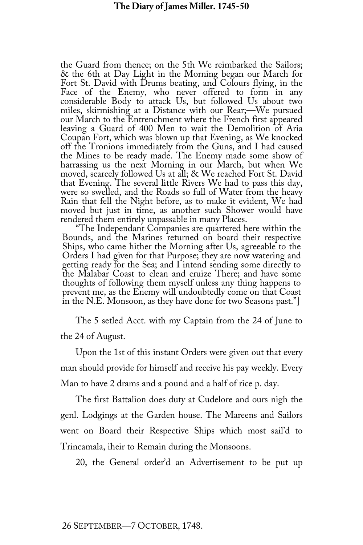the Guard from thence; on the 5th We reimbarked the Sailors; & the 6th at Day Light in the Morning began our March for Face of the Enemy, who never offered to form in any considerable Body to attack Us, but followed Us about two our March to the Entrenchment where the French first appeared leaving a Guard of 400 Men to wait the Demolition of Aria Coupan Fort, which was blown up that Evening, as We knocked off the Tronions immediately from the Guns, and I had caused<br>the Mines to be ready made. The Enemy made some show of harrassing us the next Morning in our March, but when We moved, scarcely followed Us at all; & We reached Fort St. David that Evening. The several little Rivers We had to pass this day, Rain that fell the Night before, as to make it evident, We had moved but just in time, as another such Shower would have rendered them entirely unpassable in many Places.

"The Independant Companies are quartered here within the Bounds, and the Marines returned on board their respective Ships, who came hither the Morning after Us, agreeable to the Orders I had given for that Purpose; they ar getting ready for the Sea; and I intend sending some directly to the Malabar Coast to clean and cruize There; and have some thoughts of following them myself unless any thing happens to prevent me, as the Enemy will undoubtedly come on that Coast in the N.E. Monsoon, as they have done for two Seasons past."]

The 5 setled Acct. with my Captain from the 24 of June to the 24 of August.

Upon the 1st of this instant Orders were given out that every man should provide for himself and receive his pay weekly. Every Man to have 2 drams and a pound and a half of rice p. day.

The first Battalion does duty at Cudelore and ours nigh the genl. Lodgings at the Garden house. The Mareens and Sailors went on Board their Respective Ships which most sail'd to Trincamala, iheir to Remain during the Monsoons.

20, the General order'd an Advertisement to be put up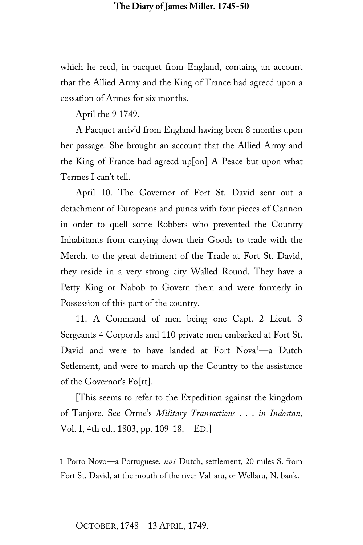which he recd, in pacquet from England, containg an account that the Allied Army and the King of France had agrecd upon a cessation of Armes for six months.

April the 9 1749.

A Pacquet arriv'd from England having been 8 months upon her passage. She brought an account that the Allied Army and the King of France had agrecd up[on] A Peace but upon what Termes I can't tell.

April 10. The Governor of Fort St. David sent out a detachment of Europeans and punes with four pieces of Cannon in order to quell some Robbers who prevented the Country Inhabitants from carrying down their Goods to trade with the Merch. to the great detriment of the Trade at Fort St. David, they reside in a very strong city Walled Round. They have a Petty King or Nabob to Govern them and were formerly in Possession of this part of the country.

11. A Command of men being one Capt. 2 Lieut. 3 Sergeants 4 Corporals and 110 private men embarked at Fort St. David and were to have landed at Fort Nova<sup>[1](#page-25-0)</sup>—a Dutch Setlement, and were to march up the Country to the assistance of the Governor's Fo[rt].

[This seems to refer to the Expedition against the kingdom of Tanjore. See Orme's *Military Transactions* . . . *in Indostan,* Vol. I, 4th ed., 1803, pp. 109-18.—ED.]

<span id="page-25-0"></span><sup>1</sup> Porto Novo—a Portuguese, *not* Dutch, settlement, 20 miles S. from Fort St. David, at the mouth of the river Val-aru, or Wellaru, N. bank.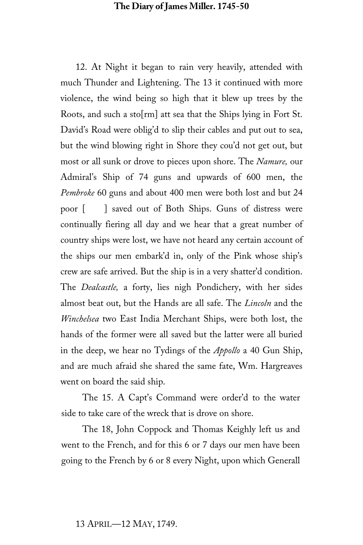12. At Night it began to rain very heavily, attended with much Thunder and Lightening. The 13 it continued with more violence, the wind being so high that it blew up trees by the Roots, and such a sto[rm] att sea that the Ships lying in Fort St. David's Road were oblig'd to slip their cables and put out to sea, but the wind blowing right in Shore they cou'd not get out, but most or all sunk or drove to pieces upon shore. The *Namure,* our Admiral's Ship of 74 guns and upwards of 600 men, the *Pembroke* 60 guns and about 400 men were both lost and but 24 poor [ ] saved out of Both Ships. Guns of distress were continually fiering all day and we hear that a great number of country ships were lost, we have not heard any certain account of the ships our men embark'd in, only of the Pink whose ship's crew are safe arrived. But the ship is in a very shatter'd condition. The *Dealcastle,* a forty, lies nigh Pondichery, with her sides almost beat out, but the Hands are all safe. The *Lincoln* and the *Winchelsea* two East India Merchant Ships, were both lost, the hands of the former were all saved but the latter were all buried in the deep, we hear no Tydings of the *Appollo* a 40 Gun Ship, and are much afraid she shared the same fate, Wm. Hargreaves went on board the said ship.

The 15. A Capt's Command were order'd to the water side to take care of the wreck that is drove on shore.

The 18, John Coppock and Thomas Keighly left us and went to the French, and for this 6 or 7 days our men have been going to the French by 6 or 8 every Night, upon which Generall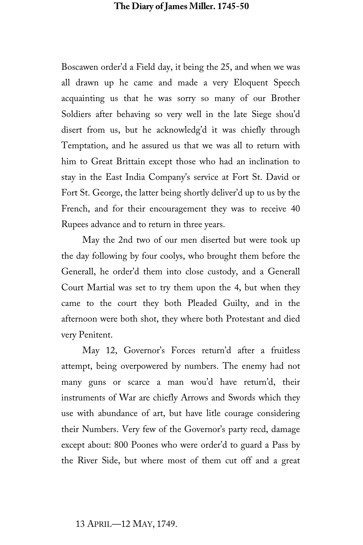Boscawen order'd a Field day, it being the 25, and when we was all drawn up he came and made a very Eloquent Speech acquainting us that he was sorry so many of our Brother Soldiers after behaving so very well in the late Siege shou'd disert from us, but he acknowledg'd it was chiefly through Temptation, and he assured us that we was all to return with him to Great Brittain except those who had an inclination to stay in the East India Company's service at Fort St. David or Fort St. George, the latter being shortly deliver'd up to us by the French, and for their encouragement they was to receive 40 Rupees advance and to return in three years.

May the 2nd two of our men diserted but were took up the day following by four coolys, who brought them before the Generall, he order'd them into close custody, and a Generall Court Martial was set to try them upon the 4, but when they came to the court they both Pleaded Guilty, and in the afternoon were both shot, they where both Protestant and died very Penitent.

May 12, Governor's Forces return'd after a fruitless attempt, being overpowered by numbers. The enemy had not many guns or scarce a man wou'd have return'd, their instruments of War are chiefly Arrows and Swords which they use with abundance of art, but have litle courage considering their Numbers. Very few of the Governor's party recd, damage except about: 800 Poones who were order'd to guard a Pass by the River Side, but where most of them cut off and a great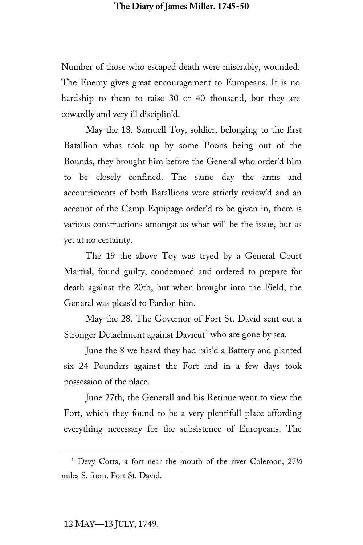Number of those who escaped death were miserably, wounded. The Enemy gives great encouragement to Europeans. It is no hardship to them to raise 30 or 40 thousand, but they are cowardly and very ill disciplin'd.

May the 18. Samuell Toy, soldier, belonging to the first Batallion whas took up by some Poons being out of the Bounds, they brought him before the General who order'd him to be closely confined. The same day the arms and accoutriments of both Batallions were strictly review'd and an account of the Camp Equipage order'd to be given in, there is various constructions amongst us what will be the issue, but as yet at no certainty.

The 19 the above Toy was tryed by a General Court Martial, found guilty, condemned and ordered to prepare for death against the 20th, but when brought into the Field, the General was pleas'd to Pardon him.

May the 28. The Governor of Fort St. David sent out a Stronger Detachment against Davicut<sup>[1](#page-28-0)</sup> who are gone by sea.

June the 8 we heard they had rais'd a Battery and planted six 24 Pounders against the Fort and in a few days took possession of the place.

June 27th, the Generall and his Retinue went to view the Fort, which they found to be a very plentifull place affording everything necessary for the subsistence of Europeans. The

<span id="page-28-0"></span><sup>&</sup>lt;sup>1</sup> Devy Cotta, a fort near the mouth of the river Coleroon, 271/2 miles S. from. Fort St. David.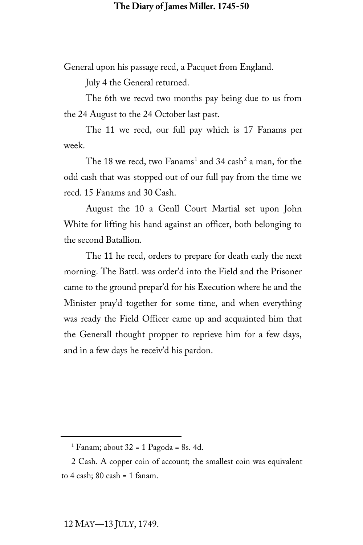General upon his passage recd, a Pacquet from England.

July 4 the General returned.

The 6th we recvd two months pay being due to us from the 24 August to the 24 October last past.

The 11 we recd, our full pay which is 17 Fanams per week.

The [1](#page-29-0)8 we recd, two Fanams<sup>1</sup> and 34 cash<sup>[2](#page-29-1)</sup> a man, for the odd cash that was stopped out of our full pay from the time we recd. 15 Fanams and 30 Cash.

August the 10 a Genll Court Martial set upon John White for lifting his hand against an officer, both belonging to the second Batallion.

The 11 he recd, orders to prepare for death early the next morning. The Battl. was order'd into the Field and the Prisoner came to the ground prepar'd for his Execution where he and the Minister pray'd together for some time, and when everything was ready the Field Officer came up and acquainted him that the Generall thought propper to reprieve him for a few days, and in a few days he receiv'd his pardon.

<sup>&</sup>lt;sup>1</sup> Fanam; about  $32 = 1$  Pagoda = 8s. 4d.

<span id="page-29-1"></span><span id="page-29-0"></span><sup>2</sup> Cash. A copper coin of account; the smallest coin was equivalent to  $4$  cash;  $80$  cash =  $1$  fanam.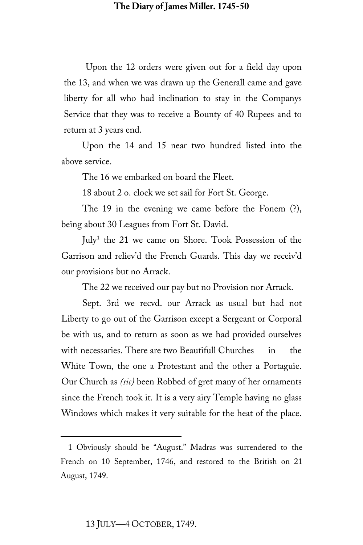Upon the 12 orders were given out for a field day upon the 13, and when we was drawn up the Generall came and gave liberty for all who had inclination to stay in the Companys Service that they was to receive a Bounty of 40 Rupees and to return at 3 years end.

Upon the 14 and 15 near two hundred listed into the above service.

The 16 we embarked on board the Fleet.

18 about 2 o. clock we set sail for Fort St. George.

The 19 in the evening we came before the Fonem (?), being about 30 Leagues from Fort St. David.

 $\text{July}^1$  $\text{July}^1$  the 21 we came on Shore. Took Possession of the Garrison and reliev'd the French Guards. This day we receiv'd our provisions but no Arrack.

The 22 we received our pay but no Provision nor Arrack.

Sept. 3rd we recvd. our Arrack as usual but had not Liberty to go out of the Garrison except a Sergeant or Corporal be with us, and to return as soon as we had provided ourselves with necessaries. There are two Beautifull Churches in the White Town, the one a Protestant and the other a Portaguie. Our Church as *(sic)* been Robbed of gret many of her ornaments since the French took it. It is a very airy Temple having no glass Windows which makes it very suitable for the heat of the place.

<span id="page-30-0"></span><sup>1</sup> Obviously should be "August." Madras was surrendered to the French on 10 September, 1746, and restored to the British on 21 August, 1749.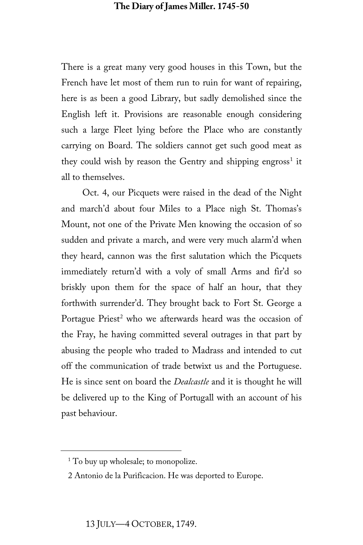There is a great many very good houses in this Town, but the French have let most of them run to ruin for want of repairing, here is as been a good Library, but sadly demolished since the English left it. Provisions are reasonable enough considering such a large Fleet lying before the Place who are constantly carrying on Board. The soldiers cannot get such good meat as they could wish by reason the Gentry and shipping engross<sup>[1](#page-31-0)</sup> it all to themselves.

Oct. 4, our Picquets were raised in the dead of the Night and march'd about four Miles to a Place nigh St. Thomas's Mount, not one of the Private Men knowing the occasion of so sudden and private a march, and were very much alarm'd when they heard, cannon was the first salutation which the Picquets immediately return'd with a voly of small Arms and fir'd so briskly upon them for the space of half an hour, that they forthwith surrender'd. They brought back to Fort St. George a Portague Priest<sup>[2](#page-31-1)</sup> who we afterwards heard was the occasion of the Fray, he having committed several outrages in that part by abusing the people who traded to Madrass and intended to cut off the communication of trade betwixt us and the Portuguese. He is since sent on board the *Dealcastle* and it is thought he will be delivered up to the King of Portugall with an account of his past behaviour.

<span id="page-31-0"></span><sup>&</sup>lt;sup>1</sup> To buy up wholesale; to monopolize.

<span id="page-31-1"></span><sup>2</sup> Antonio de la Purificacion. He was deported to Europe.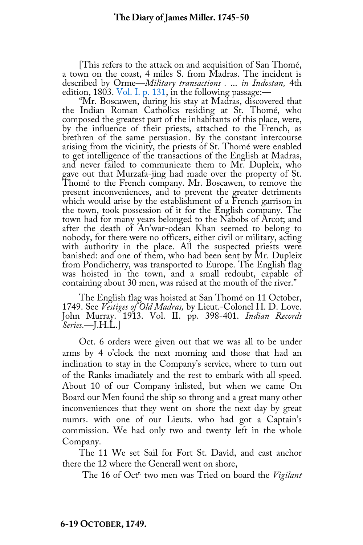[This refers to the attack on and acquisition of San Thomé, a town on the coast, 4 miles S. from Madras. The incident is described by Orme—*Military transactions .* ... *in Indostan,* 4th

"Mr. Boscawen, during his stay at Madras, discovered that the Indian Roman Catholics residing at St. Thomé, who composed the greatest part of the inhabitants of this place, were, by the influence of their priests, attached to the French, as brethren of the same persuasion. By the constant intercourse arising from the vicinity, the priests of St. Thomé were enabled to get intelligence of the transactions of the English at Madras, and never failed to communicate them to Mr. Dupleix, who gave out that Murzafa-jing had made over the property of St. Thomé to the French company. Mr. Boscawen, to remove the<br>present inconveniences, and to prevent the greater detriments<br>which would arise by the establishment of a French garrison in the town, took possession of it for the English company. The town had for many years belonged to the Nabobs of Arcot; and after the death of An'war-odean Khan seemed to belong to nobody, for there were no officers, either civil or military, acting<br>with authority in the place. All the suspected priests were<br>banished: and one of them, who had been sent by Mr. Dupleix<br>from Pondicherry, was transported

The English flag was hoisted at San Thomé on 11 October, 1749. See *Vestiges of Old Madras,* by Lieut.-Colonel H. D. Love. John Murray. 1913. Vol. II. pp. 398-401. *Indian Records Series.*—J.H.L.]

Oct. 6 orders were given out that we was all to be under arms by 4 o'clock the next morning and those that had an inclination to stay in the Company's service, where to turn out of the Ranks imadiately and the rest to embark with all speed. About 10 of our Company inlisted, but when we came On Board our Men found the ship so throng and a great many other inconveniences that they went on shore the next day by great numrs. with one of our Lieuts. who had got a Captain's commission. We had only two and twenty left in the whole Company.

The 11 We set Sail for Fort St. David, and cast anchor there the 12 where the Generall went on shore,

The 16 of Octr. two men was Tried on board the *Vigilant*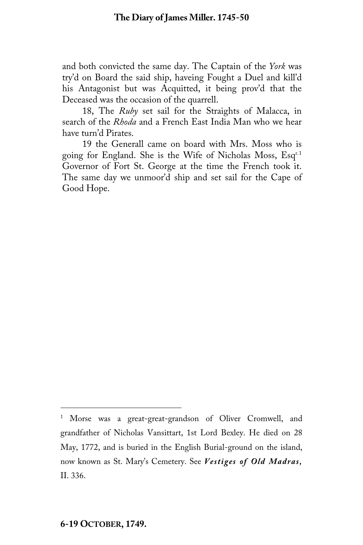and both convicted the same day. The Captain of the *York* was try'd on Board the said ship, haveing Fought a Duel and kill'd his Antagonist but was Acquitted, it being prov'd that the Deceased was the occasion of the quarrell.

18, The *Ruby* set sail for the Straights of Malacca, in search of the *Rhoda* and a French East India Man who we hear have turn'd Pirates.

19 the Generall came on board with Mrs. Moss who is going for England. She is the Wife of Nicholas Moss, Esq<sup>r.[1](#page-33-0)</sup> Governor of Fort St. George at the time the French took it. The same day we unmoor'd ship and set sail for the Cape of Good Hope.

<span id="page-33-0"></span><sup>1</sup> Morse was a great-great-grandson of Oliver Cromwell, and grandfather of Nicholas Vansittart, 1st Lord Bexley. He died on 28 May, 1772, and is buried in the English Burial-ground on the island, now known as St. Mary's Cemetery. See *Vestiges of Old Madras,*  II. 336.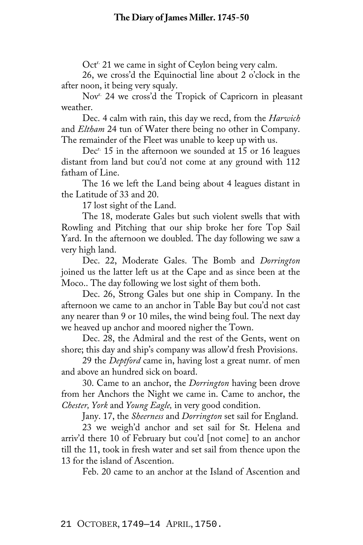Oct<sup>r.</sup> 21 we came in sight of Ceylon being very calm.

26, we cross'd the Equinoctial line about 2 o'clock in the after noon, it being very squaly.

Nov<sup>r.</sup> 24 we cross'd the Tropick of Capricorn in pleasant weather.

Dec. 4 calm with rain, this day we recd, from the *Harwich* and *Eltham* 24 tun of Water there being no other in Company. The remainder of the Fleet was unable to keep up with us.

Dec<sup>r.</sup> 15 in the afternoon we sounded at 15 or 16 leagues distant from land but cou'd not come at any ground with 112 fatham of Line.

The 16 we left the Land being about 4 leagues distant in the Latitude of 33 and 20.

17 lost sight of the Land.

The 18, moderate Gales but such violent swells that with Rowling and Pitching that our ship broke her fore Top Sail Yard. In the afternoon we doubled. The day following we saw a very high land.

Dec. 22, Moderate Gales. The Bomb and *Dorrington* joined us the latter left us at the Cape and as since been at the Moco.. The day following we lost sight of them both.

Dec. 26, Strong Gales but one ship in Company. In the afternoon we came to an anchor in Table Bay but cou'd not cast any nearer than 9 or 10 miles, the wind being foul. The next day we heaved up anchor and moored nigher the Town.

Dec. 28, the Admiral and the rest of the Gents, went on shore; this day and ship's company was allow'd fresh Provisions.

29 the *Deptford* came in, having lost a great numr. of men and above an hundred sick on board.

30. Came to an anchor, the *Dorrington* having been drove from her Anchors the Night we came in. Came to anchor, the *Chester, York* and *Young Eagle,* in very good condition.

Jany. 17, the *Sheerness* and *Dorrington* set sail for England.

23 we weigh'd anchor and set sail for St. Helena and arriv'd there 10 of February but cou'd [not come] to an anchor till the 11, took in fresh water and set sail from thence upon the 13 for the island of Ascention.

Feb. 20 came to an anchor at the Island of Ascention and